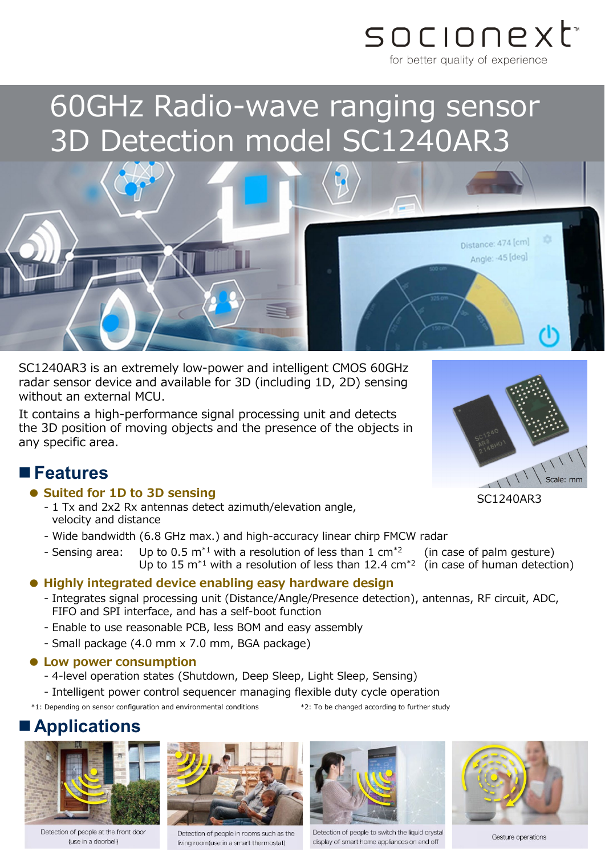

# 60GHz Radio-wave ranging sensor 3D Detection model SC1240AR3

SC1240AR3 is an extremely low-power and intelligent CMOS 60GHz radar sensor device and available for 3D (including 1D, 2D) sensing without an external MCU.

It contains a high-performance signal processing unit and detects the 3D position of moving objects and the presence of the objects in any specific area.

### **Features**

- **● Suited for 1D to 3D sensing**
	- 1 Tx and 2x2 Rx antennas detect azimuth/elevation angle, velocity and distance
	- Wide bandwidth (6.8 GHz max.) and high-accuracy linear chirp FMCW radar
	- Sensing area: Up to 0.5 m<sup>\*1</sup> with a resolution of less than 1 cm<sup>\*2</sup> (in case of palm gesture)<br>Up to 15 m<sup>\*1</sup> with a resolution of less than 12.4 cm<sup>\*2</sup> (in case of human detection) Up to 15  $m<sup>*</sup>1$  with a resolution of less than 12.4 cm<sup>\*2</sup>

### **● Highly integrated device enabling easy hardware design**

- Integrates signal processing unit (Distance/Angle/Presence detection), antennas, RF circuit, ADC, FIFO and SPI interface, and has a self-boot function
- Enable to use reasonable PCB, less BOM and easy assembly
- Small package (4.0 mm x 7.0 mm, BGA package)

#### **● Low power consumption**

- 4-level operation states (Shutdown, Deep Sleep, Light Sleep, Sensing)

- Intelligent power control sequencer managing flexible duty cycle operation

\*1: Depending on sensor configuration and environmental conditions \*2: To be changed according to further study

# **Applications**



Detection of people at the front door (use in a doorbell)



Detection of people in rooms such as the living room(use in a smart thermostat)



Detection of people to switch the liquid crystal display of smart home appliances on and off



Gesture operations



Distance: 474 [cm] Angle: -45 [deg]

SC1240AR3